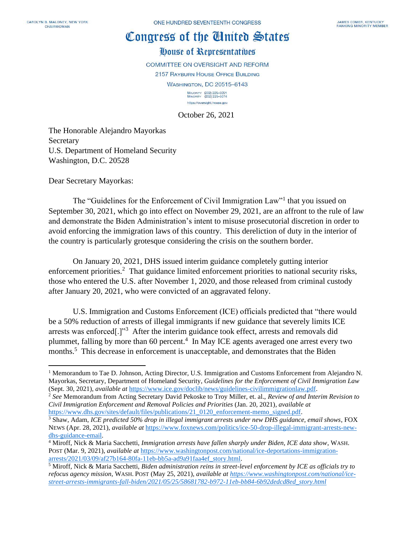## Congress of the Cinited States

## House of Representatives

COMMITTEE ON OVERSIGHT AND REFORM

2157 RAYBURN HOUSE OFFICE BUILDING

**WASHINGTON, DC 20515-6143** 

MAJORITY (202) 225-5051<br>MINORITY (202) 225-5074 https://oversight.house.gov

October 26, 2021

The Honorable Alejandro Mayorkas Secretary U.S. Department of Homeland Security Washington, D.C. 20528

Dear Secretary Mayorkas:

The "Guidelines for the Enforcement of Civil Immigration Law"<sup>1</sup> that you issued on September 30, 2021, which go into effect on November 29, 2021, are an affront to the rule of law and demonstrate the Biden Administration's intent to misuse prosecutorial discretion in order to avoid enforcing the immigration laws of this country. This dereliction of duty in the interior of the country is particularly grotesque considering the crisis on the southern border.

On January 20, 2021, DHS issued interim guidance completely gutting interior enforcement priorities.<sup>2</sup> That guidance limited enforcement priorities to national security risks, those who entered the U.S. after November 1, 2020, and those released from criminal custody after January 20, 2021, who were convicted of an aggravated felony.

U.S. Immigration and Customs Enforcement (ICE) officials predicted that "there would be a 50% reduction of arrests of illegal immigrants if new guidance that severely limits ICE arrests was enforced[.]"<sup>3</sup> After the interim guidance took effect, arrests and removals did plummet, falling by more than 60 percent. 4 In May ICE agents averaged one arrest every two months.<sup>5</sup> This decrease in enforcement is unacceptable, and demonstrates that the Biden

<sup>&</sup>lt;sup>1</sup> Memorandum to Tae D. Johnson, Acting Director, U.S. Immigration and Customs Enforcement from Alejandro N. Mayorkas, Secretary, Department of Homeland Security, *Guidelines for the Enforcement of Civil Immigration Law* (Sept. 30, 2021), *available at* [https://www.ice.gov/doclib/news/guidelines-civilimmigrationlaw.pdf.](https://www.ice.gov/doclib/news/guidelines-civilimmigrationlaw.pdf)

<sup>2</sup> *See* Memorandum from Acting Secretary David Pekoske to Troy Miller, et. al., *Review of and Interim Revision to Civil Immigration Enforcement and Removal Policies and Priorities* (Jan. 20, 2021)*, available at*  [https://www.dhs.gov/sites/default/files/publications/21\\_0120\\_enforcement-memo\\_signed.pdf.](https://www.dhs.gov/sites/default/files/publications/21_0120_enforcement-memo_signed.pdf)

<sup>3</sup> Shaw, Adam, *ICE predicted 50% drop in illegal immigrant arrests under new DHS guidance, email shows*, FOX NEWS (Apr. 28, 2021), *available at* [https://www.foxnews.com/politics/ice-50-drop-illegal-immigrant-arrests-new](https://www.foxnews.com/politics/ice-50-drop-illegal-immigrant-arrests-new-dhs-guidance-email)[dhs-guidance-email.](https://www.foxnews.com/politics/ice-50-drop-illegal-immigrant-arrests-new-dhs-guidance-email)

<sup>4</sup> Miroff, Nick & Maria Sacchetti, *Immigration arrests have fallen sharply under Biden, ICE data show*, WASH. POST (Mar. 9, 2021), *available at* [https://www.washingtonpost.com/national/ice-deportations-immigration](https://www.washingtonpost.com/national/ice-deportations-immigration-arrests/2021/03/09/af27b164-80fa-11eb-bb5a-ad9a91faa4ef_story.html)[arrests/2021/03/09/af27b164-80fa-11eb-bb5a-ad9a91faa4ef\\_story.html.](https://www.washingtonpost.com/national/ice-deportations-immigration-arrests/2021/03/09/af27b164-80fa-11eb-bb5a-ad9a91faa4ef_story.html)

<sup>5</sup> Miroff, Nick & Maria Sacchetti, *Biden administration reins in street-level enforcement by ICE as officials try to refocus agency mission*, WASH. POST (May 25, 2021)*, available at [https://www.washingtonpost.com/national/ice](https://www.washingtonpost.com/national/ice-street-arrests-immigrants-fall-biden/2021/05/25/58681782-b972-11eb-bb84-6b92dedcd8ed_story.html)[street-arrests-immigrants-fall-biden/2021/05/25/58681782-b972-11eb-bb84-6b92dedcd8ed\\_story.html](https://www.washingtonpost.com/national/ice-street-arrests-immigrants-fall-biden/2021/05/25/58681782-b972-11eb-bb84-6b92dedcd8ed_story.html)*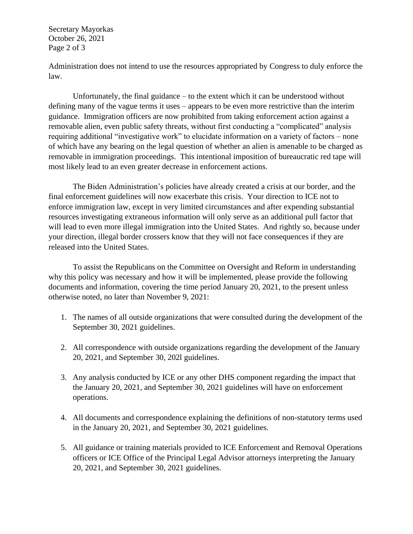Secretary Mayorkas October 26, 2021 Page 2 of 3

Administration does not intend to use the resources appropriated by Congress to duly enforce the law.

Unfortunately, the final guidance – to the extent which it can be understood without defining many of the vague terms it uses – appears to be even more restrictive than the interim guidance. Immigration officers are now prohibited from taking enforcement action against a removable alien, even public safety threats, without first conducting a "complicated" analysis requiring additional "investigative work" to elucidate information on a variety of factors – none of which have any bearing on the legal question of whether an alien is amenable to be charged as removable in immigration proceedings. This intentional imposition of bureaucratic red tape will most likely lead to an even greater decrease in enforcement actions.

The Biden Administration's policies have already created a crisis at our border, and the final enforcement guidelines will now exacerbate this crisis. Your direction to ICE not to enforce immigration law, except in very limited circumstances and after expending substantial resources investigating extraneous information will only serve as an additional pull factor that will lead to even more illegal immigration into the United States. And rightly so, because under your direction, illegal border crossers know that they will not face consequences if they are released into the United States.

To assist the Republicans on the Committee on Oversight and Reform in understanding why this policy was necessary and how it will be implemented, please provide the following documents and information, covering the time period January 20, 2021, to the present unless otherwise noted, no later than November 9, 2021:

- 1. The names of all outside organizations that were consulted during the development of the September 30, 2021 guidelines.
- 2. All correspondence with outside organizations regarding the development of the January 20, 2021, and September 30, 202l guidelines.
- 3. Any analysis conducted by ICE or any other DHS component regarding the impact that the January 20, 2021, and September 30, 2021 guidelines will have on enforcement operations.
- 4. All documents and correspondence explaining the definitions of non-statutory terms used in the January 20, 2021, and September 30, 2021 guidelines.
- 5. All guidance or training materials provided to ICE Enforcement and Removal Operations officers or ICE Office of the Principal Legal Advisor attorneys interpreting the January 20, 2021, and September 30, 2021 guidelines.